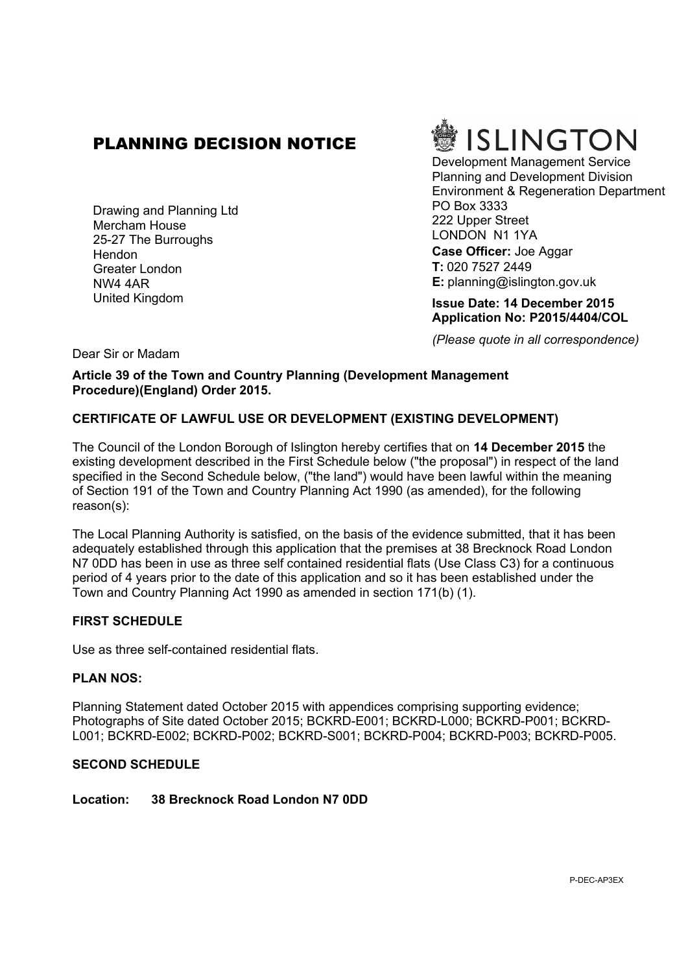# PLANNING DECISION NOTICE

Drawing and Planning Ltd Mercham House 25-27 The Burroughs **Hendon** Greater London NW4 4AR United Kingdom



Development Management Service Planning and Development Division Environment & Regeneration Department PO Box 3333 222 Upper Street LONDON N1 1YA **Case Officer:** Joe Aggar **T:** 020 7527 2449 **E:** planning@islington.gov.uk

**Issue Date: 14 December 2015 Application No: P2015/4404/COL**

*(Please quote in all correspondence)*

Dear Sir or Madam

**Article 39 of the Town and Country Planning (Development Management Procedure)(England) Order 2015.**

## **CERTIFICATE OF LAWFUL USE OR DEVELOPMENT (EXISTING DEVELOPMENT)**

The Council of the London Borough of Islington hereby certifies that on **14 December 2015** the existing development described in the First Schedule below ("the proposal") in respect of the land specified in the Second Schedule below, ("the land") would have been lawful within the meaning of Section 191 of the Town and Country Planning Act 1990 (as amended), for the following reason(s):

The Local Planning Authority is satisfied, on the basis of the evidence submitted, that it has been adequately established through this application that the premises at 38 Brecknock Road London N7 0DD has been in use as three self contained residential flats (Use Class C3) for a continuous period of 4 years prior to the date of this application and so it has been established under the Town and Country Planning Act 1990 as amended in section 171(b) (1).

## **FIRST SCHEDULE**

Use as three self-contained residential flats.

## **PLAN NOS:**

Planning Statement dated October 2015 with appendices comprising supporting evidence; Photographs of Site dated October 2015; BCKRD-E001; BCKRD-L000; BCKRD-P001; BCKRD-L001; BCKRD-E002; BCKRD-P002; BCKRD-S001; BCKRD-P004; BCKRD-P003; BCKRD-P005.

#### **SECOND SCHEDULE**

## **Location: 38 Brecknock Road London N7 0DD**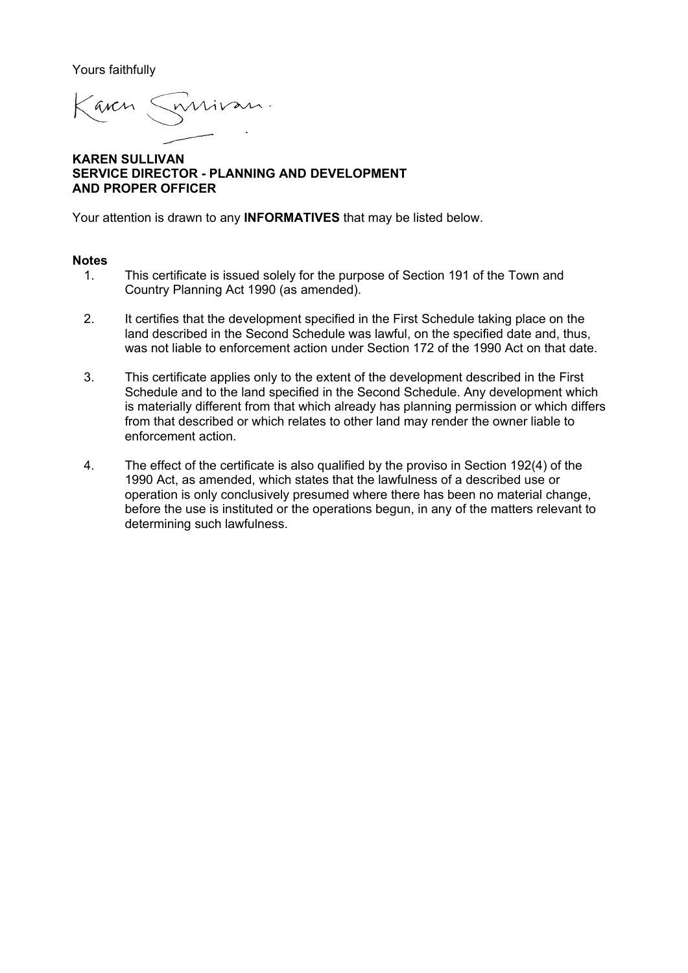Yours faithfully

arcs

**KAREN SULLIVAN SERVICE DIRECTOR - PLANNING AND DEVELOPMENT AND PROPER OFFICER**

Your attention is drawn to any **INFORMATIVES** that may be listed below.

#### **Notes**

- 1. This certificate is issued solely for the purpose of Section 191 of the Town and Country Planning Act 1990 (as amended).
- 2. It certifies that the development specified in the First Schedule taking place on the land described in the Second Schedule was lawful, on the specified date and, thus, was not liable to enforcement action under Section 172 of the 1990 Act on that date.
- 3. This certificate applies only to the extent of the development described in the First Schedule and to the land specified in the Second Schedule. Any development which is materially different from that which already has planning permission or which differs from that described or which relates to other land may render the owner liable to enforcement action.
- 4. The effect of the certificate is also qualified by the proviso in Section 192(4) of the 1990 Act, as amended, which states that the lawfulness of a described use or operation is only conclusively presumed where there has been no material change, before the use is instituted or the operations begun, in any of the matters relevant to determining such lawfulness.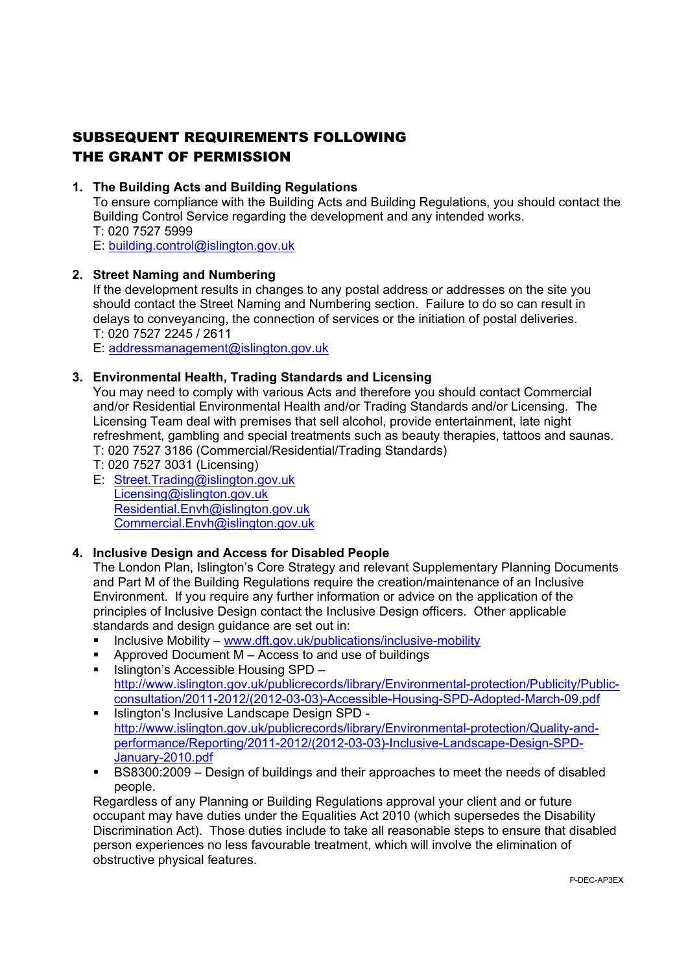# SUBSEQUENT REQUIREMENTS FOLLOWING THE GRANT OF PERMISSION

## **1. The Building Acts and Building Regulations**

To ensure compliance with the Building Acts and Building Regulations, you should contact the Building Control Service regarding the development and any intended works. T: 020 7527 5999 E: [building.control@islington.gov.uk](mailto:building.control@islington.gov.uk)

## **2. Street Naming and Numbering**

If the development results in changes to any postal address or addresses on the site you should contact the Street Naming and Numbering section. Failure to do so can result in delays to conveyancing, the connection of services or the initiation of postal deliveries. T: 020 7527 2245 / 2611

E: [addressmanagement@islington.gov.uk](mailto:addressmanagement@islington.gov.uk)

## **3. Environmental Health, Trading Standards and Licensing**

You may need to comply with various Acts and therefore you should contact Commercial and/or Residential Environmental Health and/or Trading Standards and/or Licensing. The Licensing Team deal with premises that sell alcohol, provide entertainment, late night refreshment, gambling and special treatments such as beauty therapies, tattoos and saunas.

- T: 020 7527 3186 (Commercial/Residential/Trading Standards)
- T: 020 7527 3031 (Licensing)
- E: [Street.Trading@islington.gov.uk](mailto:Street.Trading@islington.gov.uk) [Licensing@islington.gov.uk](mailto:Licensing@islington.gov.uk) [Residential.Envh@islington.gov.uk](mailto:Residential.Envh@islington.gov.uk) [Commercial.Envh@islington.gov.uk](mailto:Commercial.Envh@islington.gov.uk)

## **4. Inclusive Design and Access for Disabled People**

The London Plan, Islington's Core Strategy and relevant Supplementary Planning Documents and Part M of the Building Regulations require the creation/maintenance of an Inclusive Environment. If you require any further information or advice on the application of the principles of Inclusive Design contact the Inclusive Design officers. Other applicable standards and design guidance are set out in:

- Inclusive Mobility [www.dft.gov.uk/publications/inclusive-mobility](http://www.dft.gov.uk/publications/inclusive-mobility)
- Approved Document M Access to and use of buildings
- $\blacksquare$  Islington's Accessible Housing SPD [http://www.islington.gov.uk/publicrecords/library/Environmental-protection/Publicity/Public](http://www.islington.gov.uk/publicrecords/library/Environmental-protection/Publicity/Public-consultation/2011-2012/(2012-03-03)-Accessible-Housing-SPD-Adopted-March-09.pdf)[consultation/2011-2012/\(2012-03-03\)-Accessible-Housing-SPD-Adopted-March-09.pdf](http://www.islington.gov.uk/publicrecords/library/Environmental-protection/Publicity/Public-consultation/2011-2012/(2012-03-03)-Accessible-Housing-SPD-Adopted-March-09.pdf)
- Islington's Inclusive Landscape Design SPD [http://www.islington.gov.uk/publicrecords/library/Environmental-protection/Quality-and](http://www.islington.gov.uk/publicrecords/library/Environmental-protection/Quality-and-performance/Reporting/2011-2012/(2012-03-03)-Inclusive-Landscape-Design-SPD-January-2010.pdf)[performance/Reporting/2011-2012/\(2012-03-03\)-Inclusive-Landscape-Design-SPD-](http://www.islington.gov.uk/publicrecords/library/Environmental-protection/Quality-and-performance/Reporting/2011-2012/(2012-03-03)-Inclusive-Landscape-Design-SPD-January-2010.pdf)[January-2010.pdf](http://www.islington.gov.uk/publicrecords/library/Environmental-protection/Quality-and-performance/Reporting/2011-2012/(2012-03-03)-Inclusive-Landscape-Design-SPD-January-2010.pdf)
- BS8300:2009 Design of buildings and their approaches to meet the needs of disabled people.

Regardless of any Planning or Building Regulations approval your client and or future occupant may have duties under the Equalities Act 2010 (which supersedes the Disability Discrimination Act). Those duties include to take all reasonable steps to ensure that disabled person experiences no less favourable treatment, which will involve the elimination of obstructive physical features.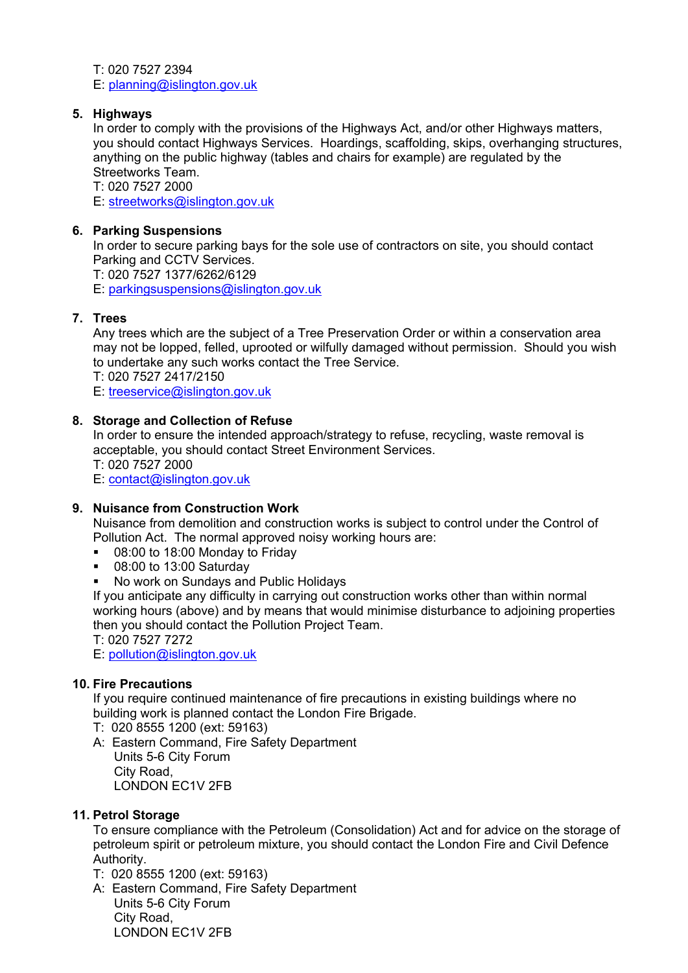T: 020 7527 2394 E: [planning@islington.gov.uk](mailto:planning@islington.gov.uk)

## **5. Highways**

In order to comply with the provisions of the Highways Act, and/or other Highways matters, you should contact Highways Services. Hoardings, scaffolding, skips, overhanging structures, anything on the public highway (tables and chairs for example) are regulated by the Streetworks Team.

T: 020 7527 2000 E: [streetworks@islington.gov.uk](mailto:streetworks@islington.gov.uk)

## **6. Parking Suspensions**

In order to secure parking bays for the sole use of contractors on site, you should contact Parking and CCTV Services.

T: 020 7527 1377/6262/6129

E: [parkingsuspensions@islington.gov.uk](mailto:parkingsuspensions@islington.gov.uk)

## **7. Trees**

Any trees which are the subject of a Tree Preservation Order or within a conservation area may not be lopped, felled, uprooted or wilfully damaged without permission. Should you wish to undertake any such works contact the Tree Service.

T: 020 7527 2417/2150

E: [treeservice@islington.gov.uk](mailto:treeservice@islington.gov.uk)

## **8. Storage and Collection of Refuse**

In order to ensure the intended approach/strategy to refuse, recycling, waste removal is acceptable, you should contact Street Environment Services. T: 020 7527 2000

E: [contact@islington.gov.uk](mailto:contact@islington.gov.uk)

## **9. Nuisance from Construction Work**

Nuisance from demolition and construction works is subject to control under the Control of Pollution Act. The normal approved noisy working hours are:

- 08:00 to 18:00 Monday to Friday
- **08:00 to 13:00 Saturday**
- No work on Sundays and Public Holidays

If you anticipate any difficulty in carrying out construction works other than within normal working hours (above) and by means that would minimise disturbance to adjoining properties then you should contact the Pollution Project Team.

T: 020 7527 7272

E: [pollution@islington.gov.uk](mailto:pollution@islington.gov.uk)

## **10. Fire Precautions**

If you require continued maintenance of fire precautions in existing buildings where no building work is planned contact the London Fire Brigade.

- T: 020 8555 1200 (ext: 59163)
- A: Eastern Command, Fire Safety Department Units 5-6 City Forum City Road, LONDON EC1V 2FB

## **11. Petrol Storage**

To ensure compliance with the Petroleum (Consolidation) Act and for advice on the storage of petroleum spirit or petroleum mixture, you should contact the London Fire and Civil Defence Authority.

- T: 020 8555 1200 (ext: 59163)
- A: Eastern Command, Fire Safety Department Units 5-6 City Forum City Road, LONDON EC1V 2FB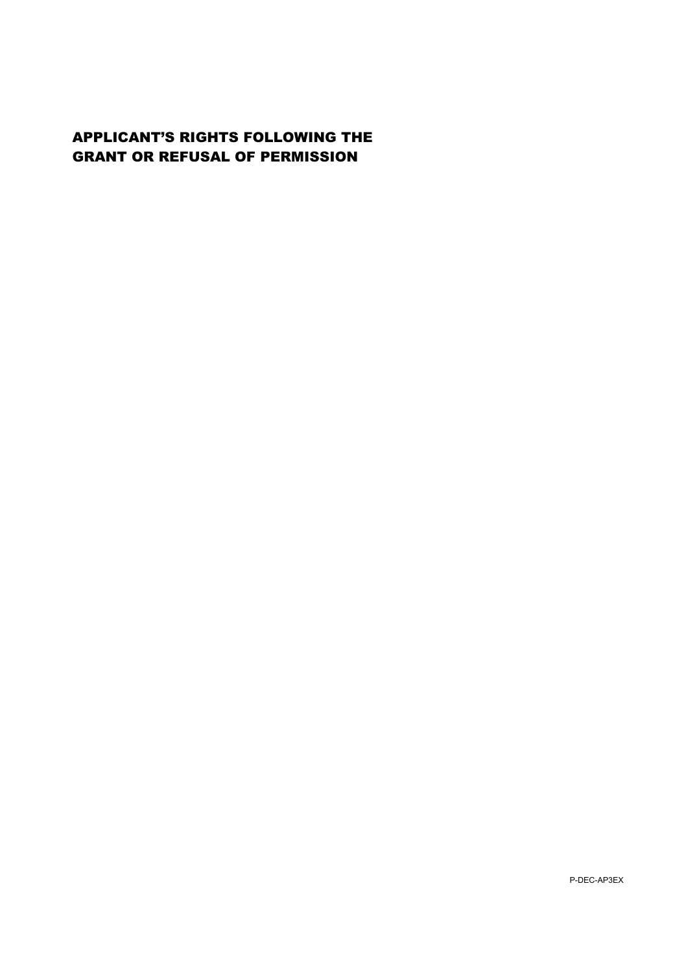## APPLICANT'S RIGHTS FOLLOWING THE GRANT OR REFUSAL OF PERMISSION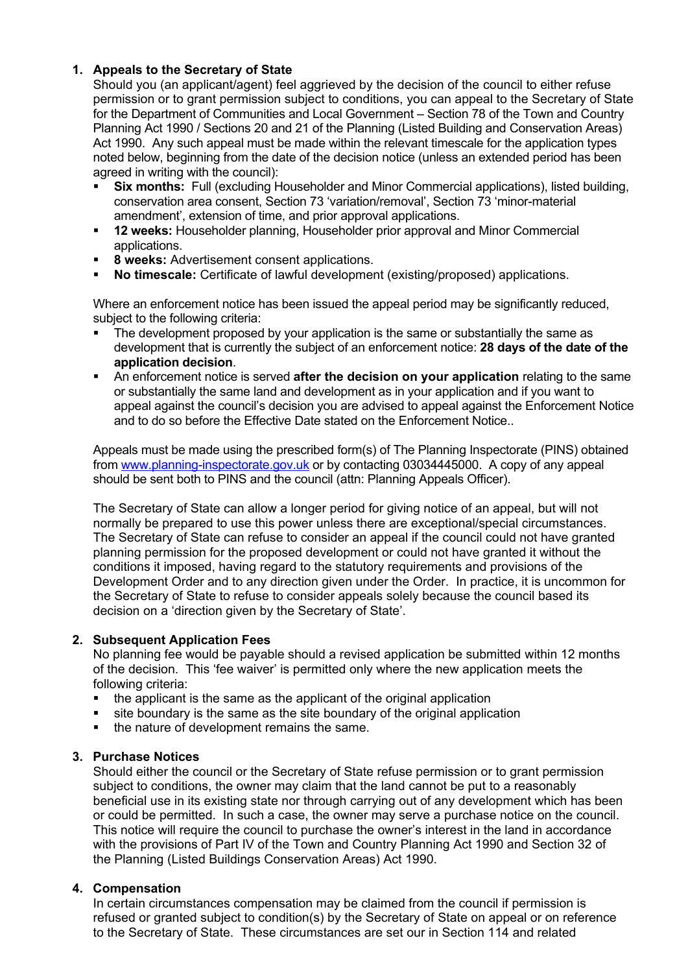## **1. Appeals to the Secretary of State**

Should you (an applicant/agent) feel aggrieved by the decision of the council to either refuse permission or to grant permission subject to conditions, you can appeal to the Secretary of State for the Department of Communities and Local Government – Section 78 of the Town and Country Planning Act 1990 / Sections 20 and 21 of the Planning (Listed Building and Conservation Areas) Act 1990. Any such appeal must be made within the relevant timescale for the application types noted below, beginning from the date of the decision notice (unless an extended period has been agreed in writing with the council):

- **Six months:** Full (excluding Householder and Minor Commercial applications), listed building, conservation area consent, Section 73 'variation/removal', Section 73 'minor-material amendment', extension of time, and prior approval applications.
- **12 weeks:** Householder planning, Householder prior approval and Minor Commercial applications.
- **8 weeks:** Advertisement consent applications.
- **No timescale:** Certificate of lawful development (existing/proposed) applications.

Where an enforcement notice has been issued the appeal period may be significantly reduced, subject to the following criteria:

- The development proposed by your application is the same or substantially the same as development that is currently the subject of an enforcement notice: **28 days of the date of the application decision**.
- An enforcement notice is served **after the decision on your application** relating to the same or substantially the same land and development as in your application and if you want to appeal against the council's decision you are advised to appeal against the Enforcement Notice and to do so before the Effective Date stated on the Enforcement Notice..

Appeals must be made using the prescribed form(s) of The Planning Inspectorate (PINS) obtained from [www.planning-inspectorate.gov.uk](http://www.planning-inspectorate.gov.uk) or by contacting 03034445000. A copy of any appeal should be sent both to PINS and the council (attn: Planning Appeals Officer).

The Secretary of State can allow a longer period for giving notice of an appeal, but will not normally be prepared to use this power unless there are exceptional/special circumstances. The Secretary of State can refuse to consider an appeal if the council could not have granted planning permission for the proposed development or could not have granted it without the conditions it imposed, having regard to the statutory requirements and provisions of the Development Order and to any direction given under the Order. In practice, it is uncommon for the Secretary of State to refuse to consider appeals solely because the council based its decision on a 'direction given by the Secretary of State'.

## **2. Subsequent Application Fees**

No planning fee would be payable should a revised application be submitted within 12 months of the decision. This 'fee waiver' is permitted only where the new application meets the following criteria:

- the applicant is the same as the applicant of the original application
- site boundary is the same as the site boundary of the original application
- $\blacksquare$  the nature of development remains the same.

## **3. Purchase Notices**

Should either the council or the Secretary of State refuse permission or to grant permission subject to conditions, the owner may claim that the land cannot be put to a reasonably beneficial use in its existing state nor through carrying out of any development which has been or could be permitted. In such a case, the owner may serve a purchase notice on the council. This notice will require the council to purchase the owner's interest in the land in accordance with the provisions of Part IV of the Town and Country Planning Act 1990 and Section 32 of the Planning (Listed Buildings Conservation Areas) Act 1990.

## **4. Compensation**

In certain circumstances compensation may be claimed from the council if permission is refused or granted subject to condition(s) by the Secretary of State on appeal or on reference to the Secretary of State. These circumstances are set our in Section 114 and related